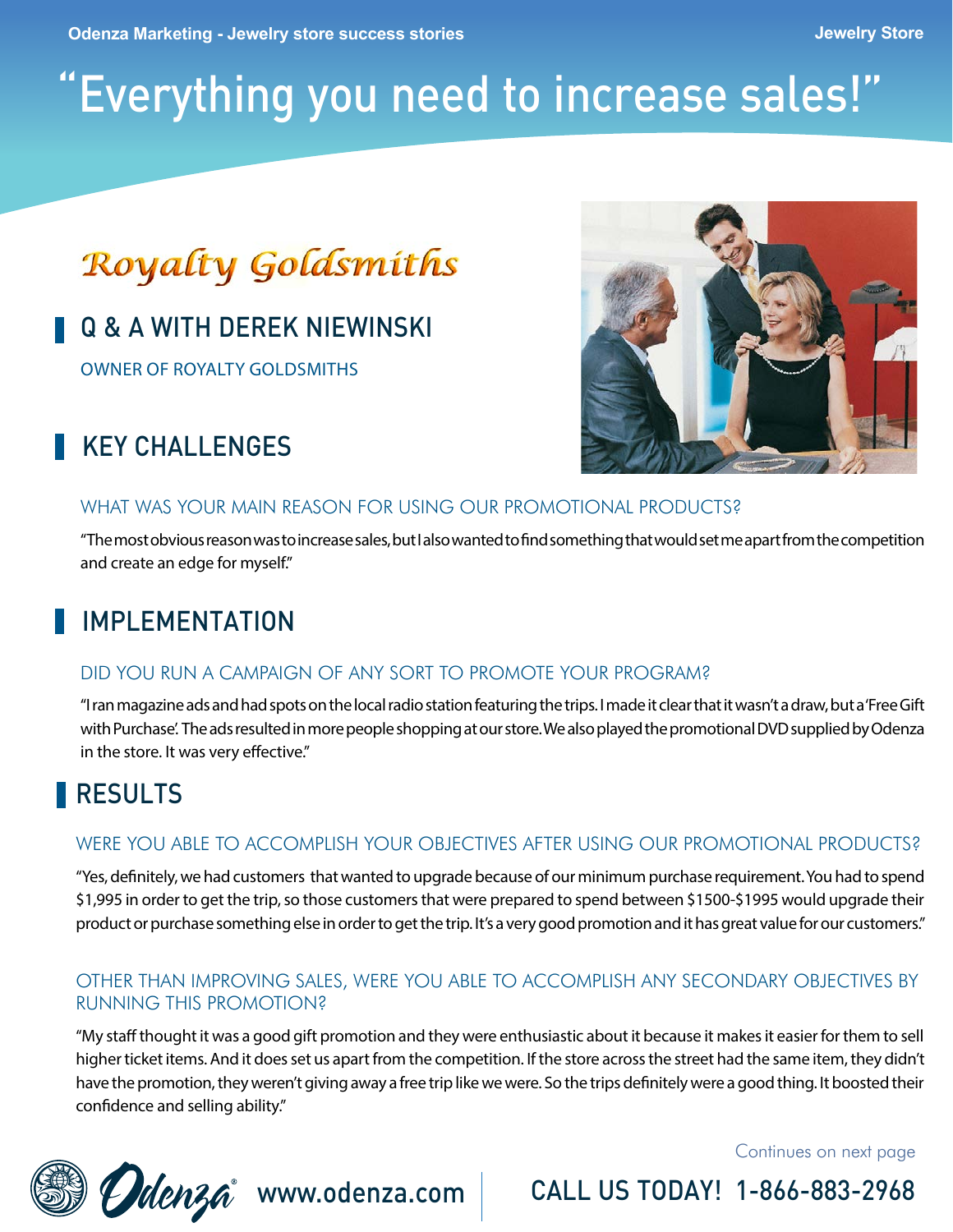# "Everything you need to increase sales!"

# **Royalty Goldsmiths**

### Q & A WITH DEREK NIEWINSKI

OWNER OF ROYALTY GOLDSMITHS



# KEY CHALL FNGES

#### WHAT WAS YOUR MAIN REASON FOR USING OUR PROMOTIONAL PRODUCTS?

"The most obvious reason was to increase sales, but I also wanted to find something that would set me apart from the competition and create an edge for myself."

# IMPI FMFNTATION

#### DID YOU RUN A CAMPAIGN OF ANY SORT TO PROMOTE YOUR PROGRAM?

"I ran magazine ads and had spots on the local radio station featuring the trips. I made it clear that it wasn't a draw, but a 'Free Gift with Purchase'. The ads resulted in more people shopping at our store. We also played the promotional DVD supplied by Odenza in the store. It was very effective."

#### RESULTS

#### WERE YOU ABLE TO ACCOMPLISH YOUR OBJECTIVES AFTER USING OUR PROMOTIONAL PRODUCTS?

"Yes, definitely, we had customers that wanted to upgrade because of our minimum purchase requirement. You had to spend \$1,995 in order to get the trip, so those customers that were prepared to spend between \$1500-\$1995 would upgrade their product or purchase something else in order to get the trip. It's a very good promotion and it has great value for our customers."

#### OTHER THAN IMPROVING SALES, WERE YOU ABLE TO ACCOMPLISH ANY SECONDARY OBJECTIVES BY RUNNING THIS PROMOTION?

"My staff thought it was a good gift promotion and they were enthusiastic about it because it makes it easier for them to sell higher ticket items. And it does set us apart from the competition. If the store across the street had the same item, they didn't have the promotion, they weren't giving away a free trip like we were. So the trips definitely were a good thing. It boosted their confidence and selling ability."

Continues on next page